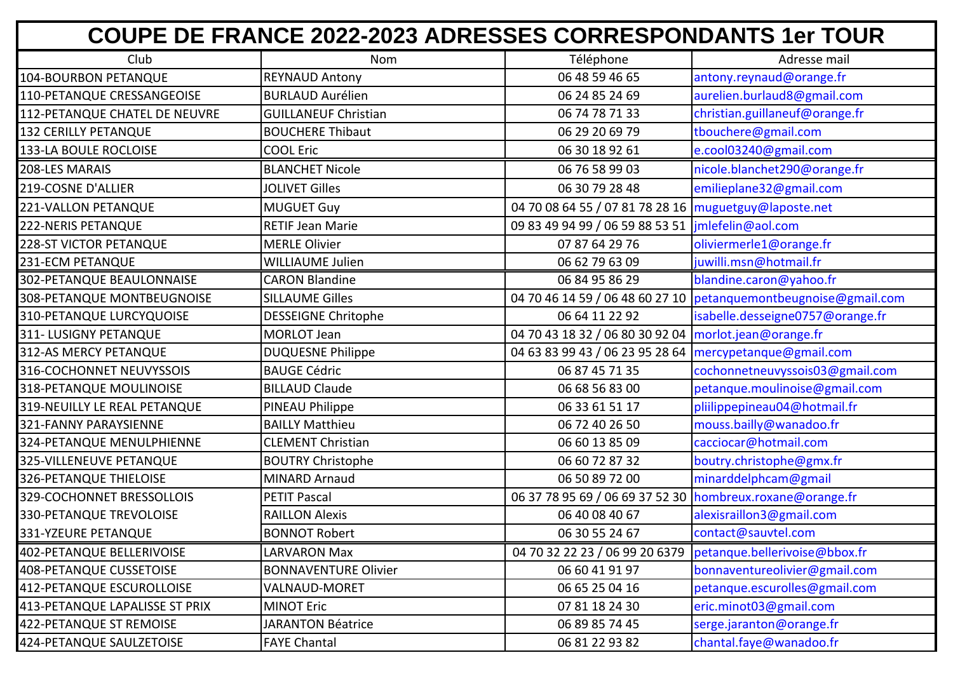| <b>COUPE DE FRANCE 2022-2023 ADRESSES CORRESPONDANTS 1er TOUR</b> |                             |                                                           |                                                                   |  |
|-------------------------------------------------------------------|-----------------------------|-----------------------------------------------------------|-------------------------------------------------------------------|--|
| Club                                                              | Nom                         | Téléphone                                                 | Adresse mail                                                      |  |
| 104-BOURBON PETANQUE                                              | <b>REYNAUD Antony</b>       | 06 48 59 46 65                                            | antony.reynaud@orange.fr                                          |  |
| 110-PETANQUE CRESSANGEOISE                                        | <b>BURLAUD Aurélien</b>     | 06 24 85 24 69                                            | aurelien.burlaud8@gmail.com                                       |  |
| 112-PETANQUE CHATEL DE NEUVRE                                     | <b>GUILLANEUF Christian</b> | 06 74 78 71 33                                            | christian.guillaneuf@orange.fr                                    |  |
| <b>132 CERILLY PETANQUE</b>                                       | <b>BOUCHERE Thibaut</b>     | 06 29 20 69 79                                            | tbouchere@gmail.com                                               |  |
| 133-LA BOULE ROCLOISE                                             | <b>COOL Eric</b>            | 06 30 18 92 61                                            | e.cool03240@gmail.com                                             |  |
| 208-LES MARAIS                                                    | <b>BLANCHET Nicole</b>      | 06 76 58 99 03                                            | nicole.blanchet290@orange.fr                                      |  |
| 219-COSNE D'ALLIER                                                | <b>JOLIVET Gilles</b>       | 06 30 79 28 48                                            | emilieplane32@gmail.com                                           |  |
| 221-VALLON PETANQUE                                               | <b>MUGUET Guy</b>           | 04 70 08 64 55 / 07 81 78 28 16   muguetguy@laposte.net   |                                                                   |  |
| 222-NERIS PETANQUE                                                | <b>RETIF Jean Marie</b>     | 09 83 49 94 99 / 06 59 88 53 51                           | jmlefelin@aol.com                                                 |  |
| <b>228-ST VICTOR PETANQUE</b>                                     | <b>MERLE Olivier</b>        | 07 87 64 29 76                                            | oliviermerle1@orange.fr                                           |  |
| 231-ECM PETANQUE                                                  | <b>WILLIAUME Julien</b>     | 06 62 79 63 09                                            | juwilli.msn@hotmail.fr                                            |  |
| 302-PETANQUE BEAULONNAISE                                         | <b>CARON Blandine</b>       | 06 84 95 86 29                                            | blandine.caron@yahoo.fr                                           |  |
| 308-PETANQUE MONTBEUGNOISE                                        | <b>SILLAUME Gilles</b>      |                                                           | 04 70 46 14 59 / 06 48 60 27 10   petanquemontbeugnoise@gmail.com |  |
| 310-PETANQUE LURCYQUOISE                                          | <b>DESSEIGNE Chritophe</b>  | 06 64 11 22 92                                            | isabelle.desseigne0757@orange.fr                                  |  |
| 311- LUSIGNY PETANQUE                                             | <b>MORLOT Jean</b>          | 04 70 43 18 32 / 06 80 30 92 04   morlot.jean@orange.fr   |                                                                   |  |
| 312-AS MERCY PETANQUE                                             | <b>DUQUESNE Philippe</b>    | 04 63 83 99 43 / 06 23 95 28 64   mercypetanque@gmail.com |                                                                   |  |
| 316-COCHONNET NEUVYSSOIS                                          | <b>BAUGE Cédric</b>         | 06 87 45 71 35                                            | cochonnetneuvyssois03@gmail.com                                   |  |
| 318-PETANQUE MOULINOISE                                           | <b>BILLAUD Claude</b>       | 06 68 56 83 00                                            | petanque.moulinoise@gmail.com                                     |  |
| 319-NEUILLY LE REAL PETANQUE                                      | PINEAU Philippe             | 06 33 61 51 17                                            | pliilippepineau04@hotmail.fr                                      |  |
| 321-FANNY PARAYSIENNE                                             | <b>BAILLY Matthieu</b>      | 06 72 40 26 50                                            | mouss.bailly@wanadoo.fr                                           |  |
| 324-PETANQUE MENULPHIENNE                                         | <b>CLEMENT Christian</b>    | 06 60 13 85 09                                            | cacciocar@hotmail.com                                             |  |
| 325-VILLENEUVE PETANQUE                                           | <b>BOUTRY Christophe</b>    | 06 60 72 87 32                                            | boutry.christophe@gmx.fr                                          |  |
| 326-PETANQUE THIELOISE                                            | MINARD Arnaud               | 06 50 89 72 00                                            | minarddelphcam@gmail                                              |  |
| 329-COCHONNET BRESSOLLOIS                                         | <b>PETIT Pascal</b>         | 06 37 78 95 69 / 06 69 37 52 30 hombreux.roxane@orange.fr |                                                                   |  |
| 330-PETANQUE TREVOLOISE                                           | <b>RAILLON Alexis</b>       | 06 40 08 40 67                                            | alexisraillon3@gmail.com                                          |  |
| 331-YZEURE PETANQUE                                               | <b>BONNOT Robert</b>        | 06 30 55 24 67                                            | contact@sauvtel.com                                               |  |
| 402-PETANQUE BELLERIVOISE                                         | <b>LARVARON Max</b>         | 04 70 32 22 23 / 06 99 20 6379                            | petanque.bellerivoise@bbox.fr                                     |  |
| 408-PETANQUE CUSSETOISE                                           | <b>BONNAVENTURE Olivier</b> | 06 60 41 91 97                                            | bonnaventureolivier@gmail.com                                     |  |
| 412-PETANQUE ESCUROLLOISE                                         | VALNAUD-MORET               | 06 65 25 04 16                                            | petanque.escurolles@gmail.com                                     |  |
| 413-PETANQUE LAPALISSE ST PRIX                                    | <b>MINOT Eric</b>           | 07 81 18 24 30                                            | eric.minot03@gmail.com                                            |  |
| 422-PETANQUE ST REMOISE                                           | <b>JARANTON Béatrice</b>    | 06 89 85 74 45                                            | serge.jaranton@orange.fr                                          |  |
| 424-PETANQUE SAULZETOISE                                          | <b>FAYE Chantal</b>         | 06 81 22 93 82                                            | chantal.faye@wanadoo.fr                                           |  |